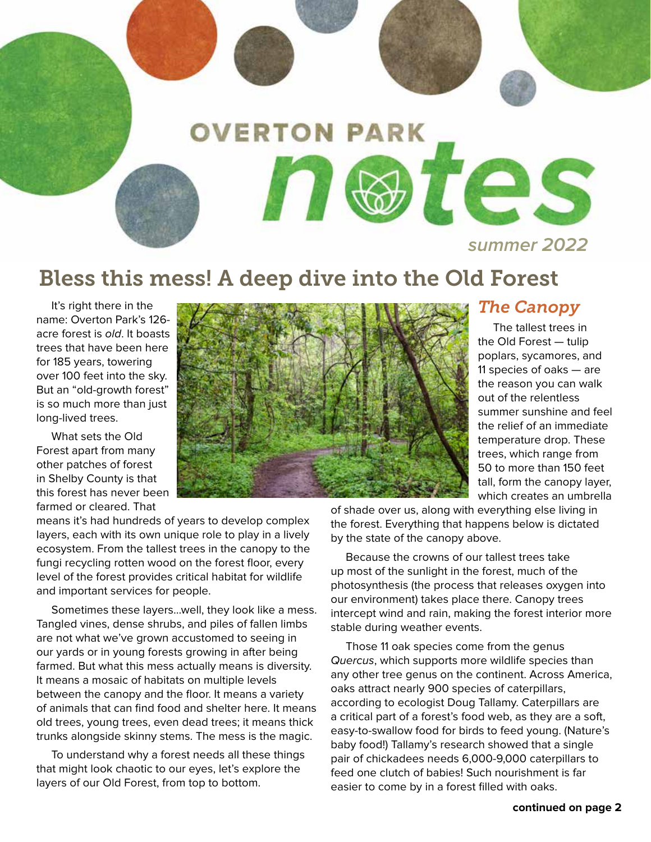

## Bless this mess! A deep dive into the Old Forest

 It's right there in the name: Overton Park's 126 acre forest is old. It boasts trees that have been here for 185 years, towering over 100 feet into the sky. But an "old-growth forest" is so much more than just long-lived trees.

 What sets the Old Forest apart from many other patches of forest in Shelby County is that this forest has never been farmed or cleared. That



### *The Canopy*

 The tallest trees in the Old Forest — tulip poplars, sycamores, and 11 species of oaks — are the reason you can walk out of the relentless summer sunshine and feel the relief of an immediate temperature drop. These trees, which range from 50 to more than 150 feet tall, form the canopy layer, which creates an umbrella

means it's had hundreds of years to develop complex layers, each with its own unique role to play in a lively ecosystem. From the tallest trees in the canopy to the fungi recycling rotten wood on the forest floor, every level of the forest provides critical habitat for wildlife and important services for people.

 Sometimes these layers...well, they look like a mess. Tangled vines, dense shrubs, and piles of fallen limbs are not what we've grown accustomed to seeing in our yards or in young forests growing in after being farmed. But what this mess actually means is diversity. It means a mosaic of habitats on multiple levels between the canopy and the floor. It means a variety of animals that can find food and shelter here. It means old trees, young trees, even dead trees; it means thick trunks alongside skinny stems. The mess is the magic.

 To understand why a forest needs all these things that might look chaotic to our eyes, let's explore the layers of our Old Forest, from top to bottom.

of shade over us, along with everything else living in the forest. Everything that happens below is dictated by the state of the canopy above.

 Because the crowns of our tallest trees take up most of the sunlight in the forest, much of the photosynthesis (the process that releases oxygen into our environment) takes place there. Canopy trees intercept wind and rain, making the forest interior more stable during weather events.

 Those 11 oak species come from the genus Quercus, which supports more wildlife species than any other tree genus on the continent. Across America, oaks attract nearly 900 species of caterpillars, according to ecologist Doug Tallamy. Caterpillars are a critical part of a forest's food web, as they are a soft, easy-to-swallow food for birds to feed young. (Nature's baby food!) Tallamy's research showed that a single pair of chickadees needs 6,000-9,000 caterpillars to feed one clutch of babies! Such nourishment is far easier to come by in a forest filled with oaks.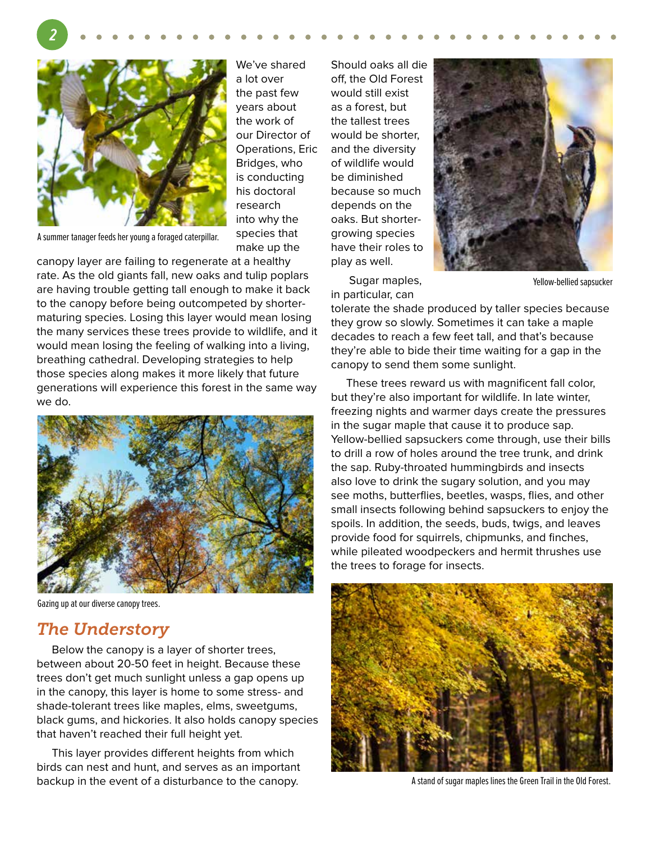

**2**

 We've shared a lot over the past few years about the work of our Director of Operations, Eric Bridges, who is conducting his doctoral research into why the species that make up the

A summer tanager feeds her young a foraged caterpillar.

canopy layer are failing to regenerate at a healthy rate. As the old giants fall, new oaks and tulip poplars are having trouble getting tall enough to make it back to the canopy before being outcompeted by shortermaturing species. Losing this layer would mean losing the many services these trees provide to wildlife, and it would mean losing the feeling of walking into a living, breathing cathedral. Developing strategies to help those species along makes it more likely that future generations will experience this forest in the same way we do.



Gazing up at our diverse canopy trees.

### *The Understory*

 Below the canopy is a layer of shorter trees, between about 20-50 feet in height. Because these trees don't get much sunlight unless a gap opens up in the canopy, this layer is home to some stress- and shade-tolerant trees like maples, elms, sweetgums, black gums, and hickories. It also holds canopy species that haven't reached their full height yet.

 This layer provides different heights from which birds can nest and hunt, and serves as an important backup in the event of a disturbance to the canopy.

Should oaks all die off, the Old Forest would still exist as a forest, but the tallest trees would be shorter, and the diversity of wildlife would be diminished because so much depends on the oaks. But shortergrowing species have their roles to play as well.



 Sugar maples, in particular, can

Yellow-bellied sapsucker

tolerate the shade produced by taller species because they grow so slowly. Sometimes it can take a maple decades to reach a few feet tall, and that's because they're able to bide their time waiting for a gap in the canopy to send them some sunlight.

 These trees reward us with magnificent fall color, but they're also important for wildlife. In late winter, freezing nights and warmer days create the pressures in the sugar maple that cause it to produce sap. Yellow-bellied sapsuckers come through, use their bills to drill a row of holes around the tree trunk, and drink the sap. Ruby-throated hummingbirds and insects also love to drink the sugary solution, and you may see moths, butterflies, beetles, wasps, flies, and other small insects following behind sapsuckers to enjoy the spoils. In addition, the seeds, buds, twigs, and leaves provide food for squirrels, chipmunks, and finches, while pileated woodpeckers and hermit thrushes use the trees to forage for insects.



A stand of sugar maples lines the Green Trail in the Old Forest.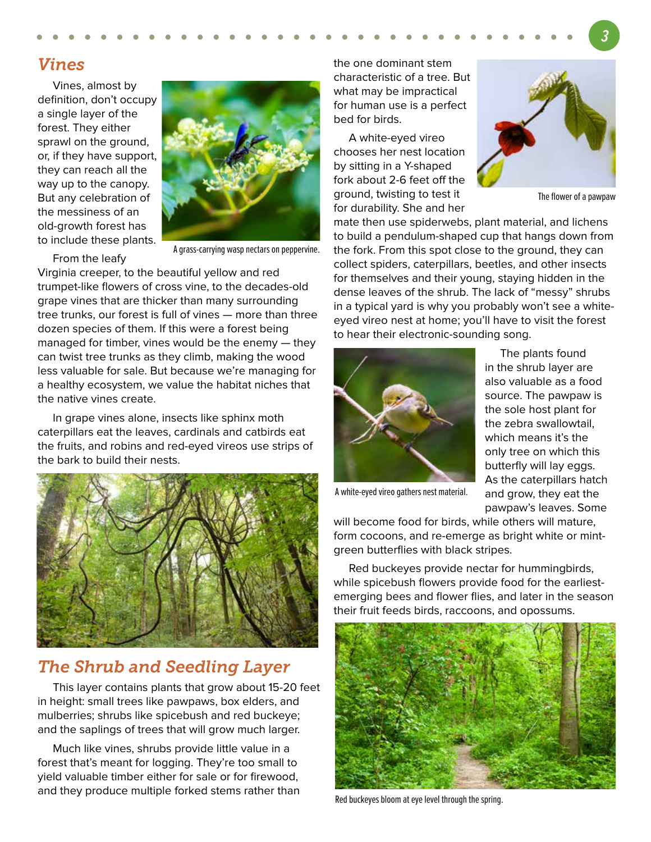### *Vines*

 Vines, almost by definition, don't occupy a single layer of the forest. They either sprawl on the ground, or, if they have support, they can reach all the way up to the canopy. But any celebration of the messiness of an old-growth forest has to include these plants.



From the leafy

A grass-carrying wasp nectars on peppervine.

Virginia creeper, to the beautiful yellow and red trumpet-like flowers of cross vine, to the decades-old grape vines that are thicker than many surrounding tree trunks, our forest is full of vines — more than three dozen species of them. If this were a forest being managed for timber, vines would be the enemy — they can twist tree trunks as they climb, making the wood less valuable for sale. But because we're managing for a healthy ecosystem, we value the habitat niches that the native vines create.

 In grape vines alone, insects like sphinx moth caterpillars eat the leaves, cardinals and catbirds eat the fruits, and robins and red-eyed vireos use strips of the bark to build their nests.



### *The Shrub and Seedling Layer*

 This layer contains plants that grow about 15-20 feet in height: small trees like pawpaws, box elders, and mulberries; shrubs like spicebush and red buckeye; and the saplings of trees that will grow much larger.

 Much like vines, shrubs provide little value in a forest that's meant for logging. They're too small to yield valuable timber either for sale or for firewood, and they produce multiple forked stems rather than the one dominant stem characteristic of a tree. But what may be impractical for human use is a perfect bed for birds.

 A white-eyed vireo chooses her nest location by sitting in a Y-shaped fork about 2-6 feet off the ground, twisting to test it for durability. She and her



The flower of a pawpaw

mate then use spiderwebs, plant material, and lichens to build a pendulum-shaped cup that hangs down from the fork. From this spot close to the ground, they can collect spiders, caterpillars, beetles, and other insects for themselves and their young, staying hidden in the dense leaves of the shrub. The lack of "messy" shrubs in a typical yard is why you probably won't see a whiteeyed vireo nest at home; you'll have to visit the forest to hear their electronic-sounding song.



 The plants found in the shrub layer are also valuable as a food source. The pawpaw is the sole host plant for the zebra swallowtail, which means it's the only tree on which this butterfly will lay eggs. As the caterpillars hatch and grow, they eat the pawpaw's leaves. Some

A white-eyed vireo gathers nest material.

will become food for birds, while others will mature, form cocoons, and re-emerge as bright white or mintgreen butterflies with black stripes.

 Red buckeyes provide nectar for hummingbirds, while spicebush flowers provide food for the earliestemerging bees and flower flies, and later in the season their fruit feeds birds, raccoons, and opossums.



Red buckeyes bloom at eye level through the spring.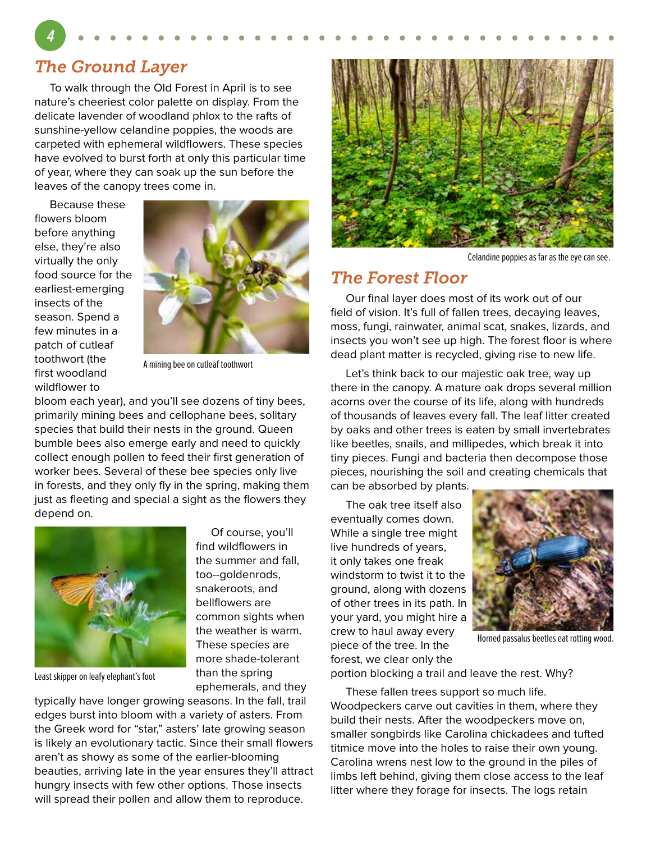### *The Ground Layer*

**4**

 To walk through the Old Forest in April is to see nature's cheeriest color palette on display. From the delicate lavender of woodland phlox to the rafts of sunshine-yellow celandine poppies, the woods are carpeted with ephemeral wildflowers. These species have evolved to burst forth at only this particular time of year, where they can soak up the sun before the leaves of the canopy trees come in.

 Because these flowers bloom before anything else, they're also virtually the only food source for the earliest-emerging insects of the season. Spend a few minutes in a patch of cutleaf toothwort (the first woodland wildflower to



A mining bee on cutleaf toothwort

bloom each year), and you'll see dozens of tiny bees, primarily mining bees and cellophane bees, solitary species that build their nests in the ground. Queen bumble bees also emerge early and need to quickly collect enough pollen to feed their first generation of worker bees. Several of these bee species only live in forests, and they only fly in the spring, making them just as fleeting and special a sight as the flowers they depend on.



Least skipper on leafy elephant's foot

 Of course, you'll find wildflowers in the summer and fall, too--goldenrods, snakeroots, and bellflowers are common sights when the weather is warm. These species are more shade-tolerant than the spring ephemerals, and they

typically have longer growing seasons. In the fall, trail edges burst into bloom with a variety of asters. From the Greek word for "star," asters' late growing season is likely an evolutionary tactic. Since their small flowers aren't as showy as some of the earlier-blooming beauties, arriving late in the year ensures they'll attract hungry insects with few other options. Those insects will spread their pollen and allow them to reproduce.



Celandine poppies as far as the eye can see.

### *The Forest Floor*

 Our final layer does most of its work out of our field of vision. It's full of fallen trees, decaying leaves, moss, fungi, rainwater, animal scat, snakes, lizards, and insects you won't see up high. The forest floor is where dead plant matter is recycled, giving rise to new life.

 Let's think back to our majestic oak tree, way up there in the canopy. A mature oak drops several million acorns over the course of its life, along with hundreds of thousands of leaves every fall. The leaf litter created by oaks and other trees is eaten by small invertebrates like beetles, snails, and millipedes, which break it into tiny pieces. Fungi and bacteria then decompose those pieces, nourishing the soil and creating chemicals that can be absorbed by plants.

 The oak tree itself also eventually comes down. While a single tree might live hundreds of years, it only takes one freak windstorm to twist it to the ground, along with dozens of other trees in its path. In your yard, you might hire a crew to haul away every piece of the tree. In the forest, we clear only the



Horned passalus beetles eat rotting wood.

portion blocking a trail and leave the rest. Why?

 These fallen trees support so much life. Woodpeckers carve out cavities in them, where they build their nests. After the woodpeckers move on, smaller songbirds like Carolina chickadees and tufted titmice move into the holes to raise their own young. Carolina wrens nest low to the ground in the piles of limbs left behind, giving them close access to the leaf litter where they forage for insects. The logs retain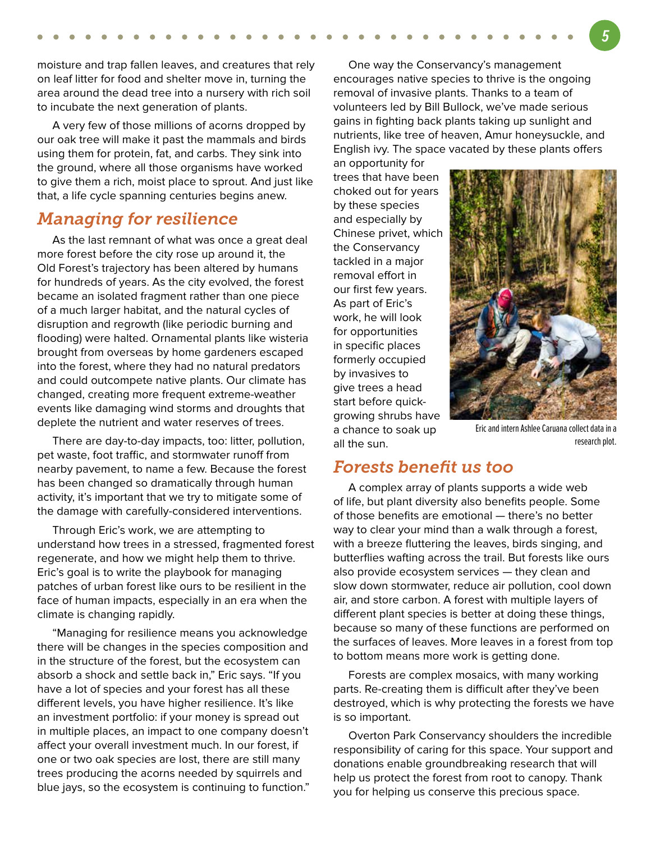moisture and trap fallen leaves, and creatures that rely on leaf litter for food and shelter move in, turning the area around the dead tree into a nursery with rich soil to incubate the next generation of plants.

 A very few of those millions of acorns dropped by our oak tree will make it past the mammals and birds using them for protein, fat, and carbs. They sink into the ground, where all those organisms have worked to give them a rich, moist place to sprout. And just like that, a life cycle spanning centuries begins anew.

### *Managing for resilience*

 As the last remnant of what was once a great deal more forest before the city rose up around it, the Old Forest's trajectory has been altered by humans for hundreds of years. As the city evolved, the forest became an isolated fragment rather than one piece of a much larger habitat, and the natural cycles of disruption and regrowth (like periodic burning and flooding) were halted. Ornamental plants like wisteria brought from overseas by home gardeners escaped into the forest, where they had no natural predators and could outcompete native plants. Our climate has changed, creating more frequent extreme-weather events like damaging wind storms and droughts that deplete the nutrient and water reserves of trees.

 There are day-to-day impacts, too: litter, pollution, pet waste, foot traffic, and stormwater runoff from nearby pavement, to name a few. Because the forest has been changed so dramatically through human activity, it's important that we try to mitigate some of the damage with carefully-considered interventions.

 Through Eric's work, we are attempting to understand how trees in a stressed, fragmented forest regenerate, and how we might help them to thrive. Eric's goal is to write the playbook for managing patches of urban forest like ours to be resilient in the face of human impacts, especially in an era when the climate is changing rapidly.

 "Managing for resilience means you acknowledge there will be changes in the species composition and in the structure of the forest, but the ecosystem can absorb a shock and settle back in," Eric says. "If you have a lot of species and your forest has all these different levels, you have higher resilience. It's like an investment portfolio: if your money is spread out in multiple places, an impact to one company doesn't affect your overall investment much. In our forest, if one or two oak species are lost, there are still many trees producing the acorns needed by squirrels and blue jays, so the ecosystem is continuing to function."

 One way the Conservancy's management encourages native species to thrive is the ongoing removal of invasive plants. Thanks to a team of volunteers led by Bill Bullock, we've made serious gains in fighting back plants taking up sunlight and nutrients, like tree of heaven, Amur honeysuckle, and English ivy. The space vacated by these plants offers

an opportunity for trees that have been choked out for years by these species and especially by Chinese privet, which the Conservancy tackled in a major removal effort in our first few years. As part of Eric's work, he will look for opportunities in specific places formerly occupied by invasives to give trees a head start before quickgrowing shrubs have a chance to soak up all the sun.



Eric and intern Ashlee Caruana collect data in a research plot.

#### *Forests benefit us too*

 A complex array of plants supports a wide web of life, but plant diversity also benefits people. Some of those benefits are emotional — there's no better way to clear your mind than a walk through a forest, with a breeze fluttering the leaves, birds singing, and butterflies wafting across the trail. But forests like ours also provide ecosystem services — they clean and slow down stormwater, reduce air pollution, cool down air, and store carbon. A forest with multiple layers of different plant species is better at doing these things, because so many of these functions are performed on the surfaces of leaves. More leaves in a forest from top to bottom means more work is getting done.

 Forests are complex mosaics, with many working parts. Re-creating them is difficult after they've been destroyed, which is why protecting the forests we have is so important.

 Overton Park Conservancy shoulders the incredible responsibility of caring for this space. Your support and donations enable groundbreaking research that will help us protect the forest from root to canopy. Thank you for helping us conserve this precious space.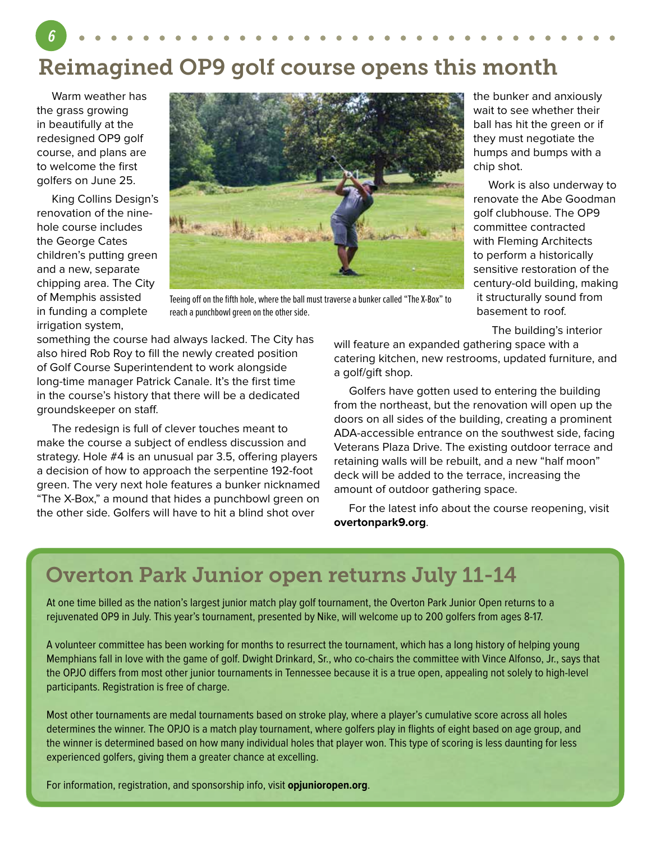# Reimagined OP9 golf course opens this month

 Warm weather has the grass growing in beautifully at the redesigned OP9 golf course, and plans are to welcome the first golfers on June 25.

**6**

 King Collins Design's renovation of the ninehole course includes the George Cates children's putting green and a new, separate chipping area. The City of Memphis assisted in funding a complete irrigation system,



Teeing off on the fifth hole, where the ball must traverse a bunker called "The X-Box" to reach a punchbowl green on the other side.

something the course had always lacked. The City has also hired Rob Roy to fill the newly created position of Golf Course Superintendent to work alongside long-time manager Patrick Canale. It's the first time in the course's history that there will be a dedicated groundskeeper on staff.

 The redesign is full of clever touches meant to make the course a subject of endless discussion and strategy. Hole #4 is an unusual par 3.5, offering players a decision of how to approach the serpentine 192-foot green. The very next hole features a bunker nicknamed "The X-Box," a mound that hides a punchbowl green on the other side. Golfers will have to hit a blind shot over

the bunker and anxiously wait to see whether their ball has hit the green or if they must negotiate the humps and bumps with a chip shot.

 Work is also underway to renovate the Abe Goodman golf clubhouse. The OP9 committee contracted with Fleming Architects to perform a historically sensitive restoration of the century-old building, making it structurally sound from basement to roof.

The building's interior

will feature an expanded gathering space with a catering kitchen, new restrooms, updated furniture, and a golf/gift shop.

 Golfers have gotten used to entering the building from the northeast, but the renovation will open up the doors on all sides of the building, creating a prominent ADA-accessible entrance on the southwest side, facing Veterans Plaza Drive. The existing outdoor terrace and retaining walls will be rebuilt, and a new "half moon" deck will be added to the terrace, increasing the amount of outdoor gathering space.

 For the latest info about the course reopening, visit **overtonpark9.org**.

## Overton Park Junior open returns July 11-14

At one time billed as the nation's largest junior match play golf tournament, the Overton Park Junior Open returns to a rejuvenated OP9 in July. This year's tournament, presented by Nike, will welcome up to 200 golfers from ages 8-17.

A volunteer committee has been working for months to resurrect the tournament, which has a long history of helping young Memphians fall in love with the game of golf. Dwight Drinkard, Sr., who co-chairs the committee with Vince Alfonso, Jr., says that the OPJO differs from most other junior tournaments in Tennessee because it is a true open, appealing not solely to high-level participants. Registration is free of charge.

Most other tournaments are medal tournaments based on stroke play, where a player's cumulative score across all holes determines the winner. The OPJO is a match play tournament, where golfers play in flights of eight based on age group, and the winner is determined based on how many individual holes that player won. This type of scoring is less daunting for less experienced golfers, giving them a greater chance at excelling.

For information, registration, and sponsorship info, visit **opjunioropen.org**.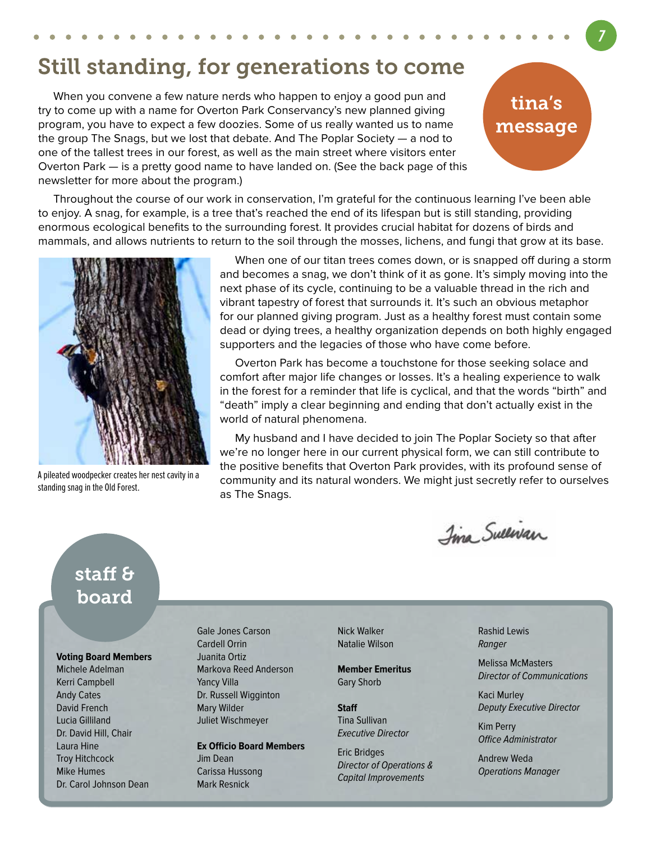## Still standing, for generations to come

 When you convene a few nature nerds who happen to enjoy a good pun and try to come up with a name for Overton Park Conservancy's new planned giving program, you have to expect a few doozies. Some of us really wanted us to name the group The Snags, but we lost that debate. And The Poplar Society — a nod to one of the tallest trees in our forest, as well as the main street where visitors enter Overton Park — is a pretty good name to have landed on. (See the back page of this newsletter for more about the program.)

## tina's message

 Throughout the course of our work in conservation, I'm grateful for the continuous learning I've been able to enjoy. A snag, for example, is a tree that's reached the end of its lifespan but is still standing, providing enormous ecological benefits to the surrounding forest. It provides crucial habitat for dozens of birds and mammals, and allows nutrients to return to the soil through the mosses, lichens, and fungi that grow at its base.



A pileated woodpecker creates her nest cavity in a standing snag in the Old Forest.

 When one of our titan trees comes down, or is snapped off during a storm and becomes a snag, we don't think of it as gone. It's simply moving into the next phase of its cycle, continuing to be a valuable thread in the rich and vibrant tapestry of forest that surrounds it. It's such an obvious metaphor for our planned giving program. Just as a healthy forest must contain some dead or dying trees, a healthy organization depends on both highly engaged supporters and the legacies of those who have come before.

 Overton Park has become a touchstone for those seeking solace and comfort after major life changes or losses. It's a healing experience to walk in the forest for a reminder that life is cyclical, and that the words "birth" and "death" imply a clear beginning and ending that don't actually exist in the world of natural phenomena.

 My husband and I have decided to join The Poplar Society so that after we're no longer here in our current physical form, we can still contribute to the positive benefits that Overton Park provides, with its profound sense of community and its natural wonders. We might just secretly refer to ourselves as The Snags.

Ima Sullivan

### staff & board

#### **Voting Board Members**

Michele Adelman Kerri Campbell Andy Cates David French Lucia Gilliland Dr. David Hill, Chair Laura Hine Troy Hitchcock Mike Humes Dr. Carol Johnson Dean Gale Jones Carson Cardell Orrin Juanita Ortiz Markova Reed Anderson Yancy Villa Dr. Russell Wigginton Mary Wilder Juliet Wischmeyer

**Ex Officio Board Members** Jim Dean Carissa Hussong Mark Resnick

Nick Walker Natalie Wilson

**Member Emeritus** Gary Shorb

**Staff** Tina Sullivan Executive Director

Eric Bridges Director of Operations & Capital Improvements

Rashid Lewis Ranger

Melissa McMasters Director of Communications

Kaci Murley Deputy Executive Director

Kim Perry Office Administrator

Andrew Weda Operations Manager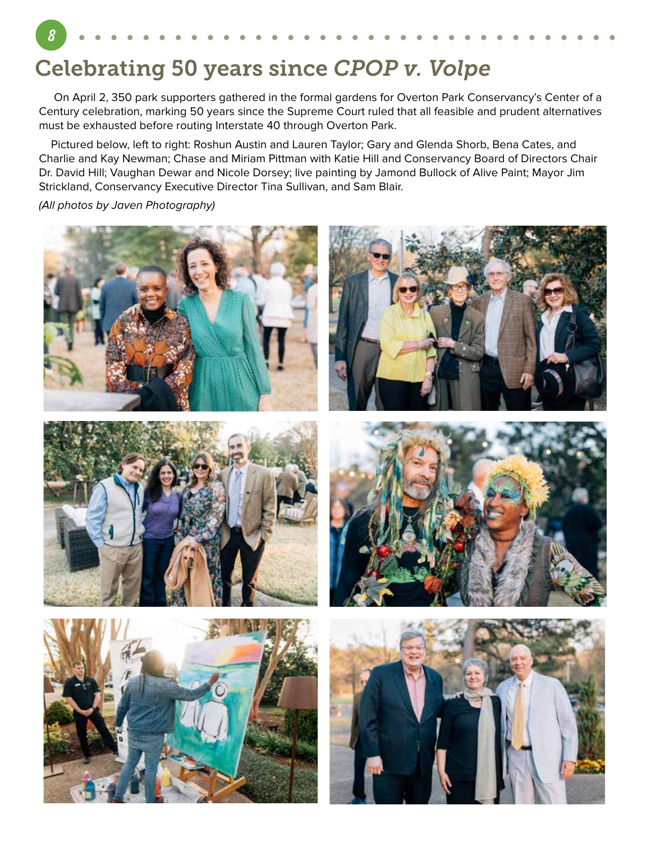## Celebrating 50 years since *CPOP v. Volpe*

 On April 2, 350 park supporters gathered in the formal gardens for Overton Park Conservancy's Center of a Century celebration, marking 50 years since the Supreme Court ruled that all feasible and prudent alternatives must be exhausted before routing Interstate 40 through Overton Park.

 Pictured below, left to right: Roshun Austin and Lauren Taylor; Gary and Glenda Shorb, Bena Cates, and Charlie and Kay Newman; Chase and Miriam Pittman with Katie Hill and Conservancy Board of Directors Chair Dr. David Hill; Vaughan Dewar and Nicole Dorsey; live painting by Jamond Bullock of Alive Paint; Mayor Jim Strickland, Conservancy Executive Director Tina Sullivan, and Sam Blair.

(All photos by Javen Photography)

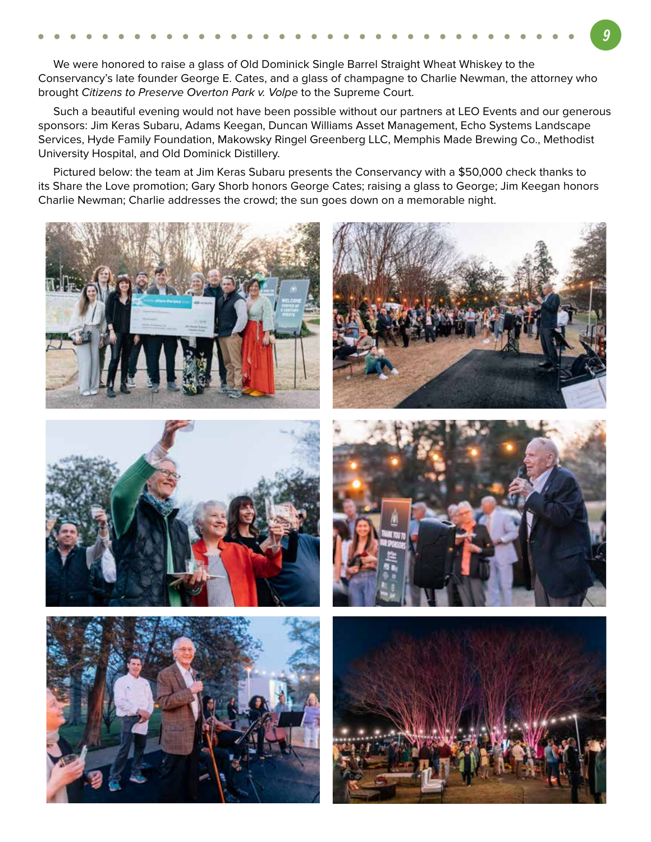We were honored to raise a glass of Old Dominick Single Barrel Straight Wheat Whiskey to the Conservancy's late founder George E. Cates, and a glass of champagne to Charlie Newman, the attorney who brought Citizens to Preserve Overton Park v. Volpe to the Supreme Court.

 Such a beautiful evening would not have been possible without our partners at LEO Events and our generous sponsors: Jim Keras Subaru, Adams Keegan, Duncan Williams Asset Management, Echo Systems Landscape Services, Hyde Family Foundation, Makowsky Ringel Greenberg LLC, Memphis Made Brewing Co., Methodist University Hospital, and Old Dominick Distillery.

 Pictured below: the team at Jim Keras Subaru presents the Conservancy with a \$50,000 check thanks to its Share the Love promotion; Gary Shorb honors George Cates; raising a glass to George; Jim Keegan honors Charlie Newman; Charlie addresses the crowd; the sun goes down on a memorable night.











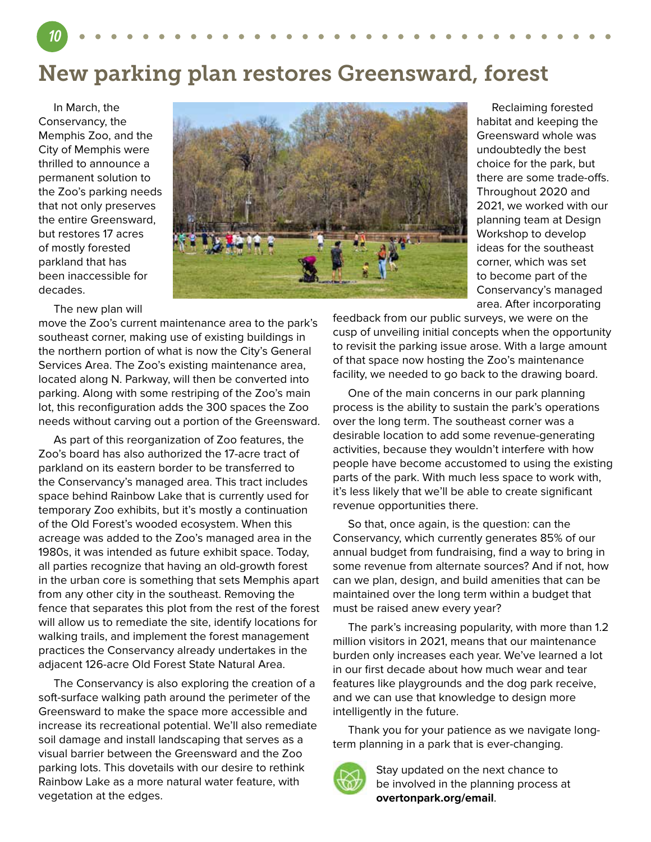New parking plan restores Greensward, forest

 In March, the Conservancy, the Memphis Zoo, and the City of Memphis were thrilled to announce a permanent solution to the Zoo's parking needs that not only preserves the entire Greensward, but restores 17 acres of mostly forested parkland that has been inaccessible for decades.

The new plan will

move the Zoo's current maintenance area to the park's southeast corner, making use of existing buildings in the northern portion of what is now the City's General Services Area. The Zoo's existing maintenance area, located along N. Parkway, will then be converted into parking. Along with some restriping of the Zoo's main lot, this reconfiguration adds the 300 spaces the Zoo needs without carving out a portion of the Greensward.

 As part of this reorganization of Zoo features, the Zoo's board has also authorized the 17-acre tract of parkland on its eastern border to be transferred to the Conservancy's managed area. This tract includes space behind Rainbow Lake that is currently used for temporary Zoo exhibits, but it's mostly a continuation of the Old Forest's wooded ecosystem. When this acreage was added to the Zoo's managed area in the 1980s, it was intended as future exhibit space. Today, all parties recognize that having an old-growth forest in the urban core is something that sets Memphis apart from any other city in the southeast. Removing the fence that separates this plot from the rest of the forest will allow us to remediate the site, identify locations for walking trails, and implement the forest management practices the Conservancy already undertakes in the adjacent 126-acre Old Forest State Natural Area.

 The Conservancy is also exploring the creation of a soft-surface walking path around the perimeter of the Greensward to make the space more accessible and increase its recreational potential. We'll also remediate soil damage and install landscaping that serves as a visual barrier between the Greensward and the Zoo parking lots. This dovetails with our desire to rethink Rainbow Lake as a more natural water feature, with vegetation at the edges.

 Reclaiming forested habitat and keeping the Greensward whole was undoubtedly the best choice for the park, but there are some trade-offs. Throughout 2020 and 2021, we worked with our planning team at Design Workshop to develop ideas for the southeast corner, which was set to become part of the Conservancy's managed area. After incorporating

feedback from our public surveys, we were on the cusp of unveiling initial concepts when the opportunity to revisit the parking issue arose. With a large amount of that space now hosting the Zoo's maintenance facility, we needed to go back to the drawing board.

 One of the main concerns in our park planning process is the ability to sustain the park's operations over the long term. The southeast corner was a desirable location to add some revenue-generating activities, because they wouldn't interfere with how people have become accustomed to using the existing parts of the park. With much less space to work with, it's less likely that we'll be able to create significant revenue opportunities there.

 So that, once again, is the question: can the Conservancy, which currently generates 85% of our annual budget from fundraising, find a way to bring in some revenue from alternate sources? And if not, how can we plan, design, and build amenities that can be maintained over the long term within a budget that must be raised anew every year?

 The park's increasing popularity, with more than 1.2 million visitors in 2021, means that our maintenance burden only increases each year. We've learned a lot in our first decade about how much wear and tear features like playgrounds and the dog park receive, and we can use that knowledge to design more intelligently in the future.

 Thank you for your patience as we navigate longterm planning in a park that is ever-changing.



Stay updated on the next chance to be involved in the planning process at **overtonpark.org/email**.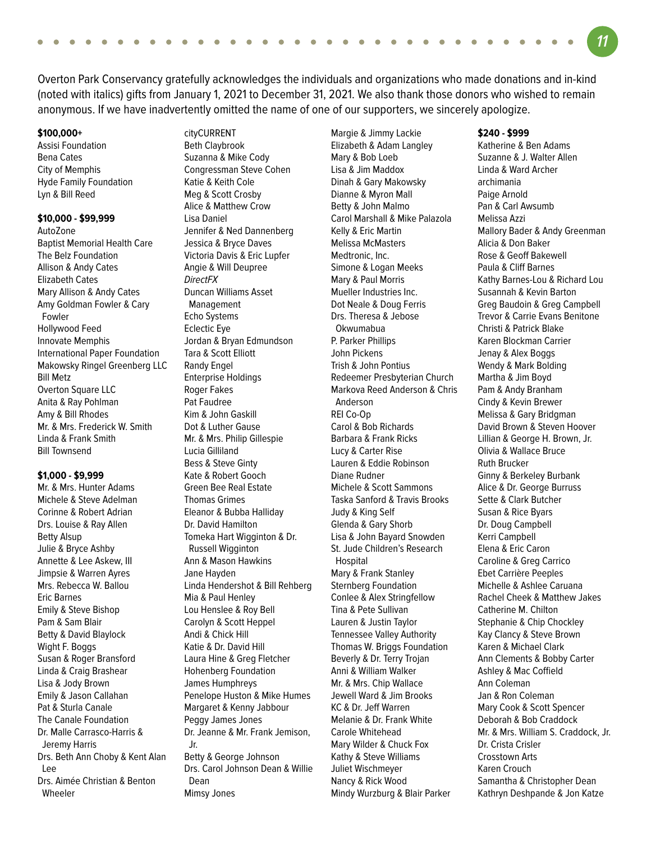Overton Park Conservancy gratefully acknowledges the individuals and organizations who made donations and in-kind

(noted with italics) gifts from January 1, 2021 to December 31, 2021. We also thank those donors who wished to remain

anonymous. If we have inadvertently omitted the name of one of our supporters, we sincerely apologize.

#### **\$100,000+**

Assisi Foundation Bena Cates City of Memphis Hyde Family Foundation Lyn & Bill Reed

#### **\$10,000 - \$99,999**

AutoZone Baptist Memorial Health Care The Belz Foundation Allison & Andy Cates Elizabeth Cates Mary Allison & Andy Cates Amy Goldman Fowler & Cary Fowler Hollywood Feed Innovate Memphis International Paper Foundation Makowsky Ringel Greenberg LLC Bill Metz Overton Square LLC Anita & Ray Pohlman Amy & Bill Rhodes Mr. & Mrs. Frederick W. Smith Linda & Frank Smith Bill Townsend

#### **\$1,000 - \$9,999**

Mr. & Mrs. Hunter Adams Michele & Steve Adelman Corinne & Robert Adrian Drs. Louise & Ray Allen Betty Alsup Julie & Bryce Ashby Annette & Lee Askew, III Jimpsie & Warren Ayres Mrs. Rebecca W. Ballou Eric Barnes Emily & Steve Bishop Pam & Sam Blair Betty & David Blaylock Wight F. Boggs Susan & Roger Bransford Linda & Craig Brashear Lisa & Jody Brown Emily & Jason Callahan Pat & Sturla Canale The Canale Foundation Dr. Malle Carrasco-Harris & Jeremy Harris Drs. Beth Ann Choby & Kent Alan Lee Drs. Aimée Christian & Benton **Wheeler** 

cityCURRENT Beth Claybrook Suzanna & Mike Cody Congressman Steve Cohen Katie & Keith Cole Meg & Scott Crosby Alice & Matthew Crow Lisa Daniel Jennifer & Ned Dannenberg Jessica & Bryce Daves Victoria Davis & Eric Lupfer Angie & Will Deupree DirectFX Duncan Williams Asset Management Echo Systems Eclectic Eye Jordan & Bryan Edmundson Tara & Scott Elliott Randy Engel Enterprise Holdings Roger Fakes Pat Faudree Kim & John Gaskill Dot & Luther Gause Mr. & Mrs. Philip Gillespie Lucia Gilliland Bess & Steve Ginty Kate & Robert Gooch Green Bee Real Estate Thomas Grimes Eleanor & Bubba Halliday Dr. David Hamilton Tomeka Hart Wigginton & Dr. Russell Wigginton Ann & Mason Hawkins Jane Hayden Linda Hendershot & Bill Rehberg Mia & Paul Henley Lou Henslee & Roy Bell Carolyn & Scott Heppel Andi & Chick Hill Katie & Dr. David Hill Laura Hine & Greg Fletcher Hohenberg Foundation James Humphreys Penelope Huston & Mike Humes Margaret & Kenny Jabbour Peggy James Jones Dr. Jeanne & Mr. Frank Jemison, Jr. Betty & George Johnson Drs. Carol Johnson Dean & Willie Dean Mimsy Jones

Margie & Jimmy Lackie Elizabeth & Adam Langley Mary & Bob Loeb Lisa & Jim Maddox Dinah & Gary Makowsky Dianne & Myron Mall Betty & John Malmo Carol Marshall & Mike Palazola Kelly & Eric Martin Melissa McMasters Medtronic, Inc. Simone & Logan Meeks Mary & Paul Morris Mueller Industries Inc. Dot Neale & Doug Ferris Drs. Theresa & Jebose Okwumabua P. Parker Phillips John Pickens Trish & John Pontius Redeemer Presbyterian Church Markova Reed Anderson & Chris Anderson REI Co-Op Carol & Bob Richards Barbara & Frank Ricks Lucy & Carter Rise Lauren & Eddie Robinson Diane Rudner Michele & Scott Sammons Taska Sanford & Travis Brooks Judy & King Self Glenda & Gary Shorb Lisa & John Bayard Snowden St. Jude Children's Research Hospital Mary & Frank Stanley Sternberg Foundation Conlee & Alex Stringfellow Tina & Pete Sullivan Lauren & Justin Taylor Tennessee Valley Authority Thomas W. Briggs Foundation Beverly & Dr. Terry Trojan Anni & William Walker Mr. & Mrs. Chip Wallace Jewell Ward & Jim Brooks KC & Dr. Jeff Warren Melanie & Dr. Frank White Carole Whitehead Mary Wilder & Chuck Fox Kathy & Steve Williams Juliet Wischmeyer Nancy & Rick Wood Mindy Wurzburg & Blair Parker

#### **\$240 - \$999**

Katherine & Ben Adams Suzanne & J. Walter Allen Linda & Ward Archer archimania Paige Arnold Pan & Carl Awsumb Melissa Azzi Mallory Bader & Andy Greenman Alicia & Don Baker Rose & Geoff Bakewell Paula & Cliff Barnes Kathy Barnes-Lou & Richard Lou Susannah & Kevin Barton Greg Baudoin & Greg Campbell Trevor & Carrie Evans Benitone Christi & Patrick Blake Karen Blockman Carrier Jenay & Alex Boggs Wendy & Mark Bolding Martha & Jim Boyd Pam & Andy Branham Cindy & Kevin Brewer Melissa & Gary Bridgman David Brown & Steven Hoover Lillian & George H. Brown, Jr. Olivia & Wallace Bruce Ruth Brucker Ginny & Berkeley Burbank Alice & Dr. George Burruss Sette & Clark Butcher Susan & Rice Byars Dr. Doug Campbell Kerri Campbell Elena & Eric Caron Caroline & Greg Carrico Ebet Carrière Peeples Michelle & Ashlee Caruana Rachel Cheek & Matthew Jakes Catherine M. Chilton Stephanie & Chip Chockley Kay Clancy & Steve Brown Karen & Michael Clark Ann Clements & Bobby Carter Ashley & Mac Coffield Ann Coleman Jan & Ron Coleman Mary Cook & Scott Spencer Deborah & Bob Craddock Mr. & Mrs. William S. Craddock, Jr. Dr. Crista Crisler Crosstown Arts Karen Crouch Samantha & Christopher Dean Kathryn Deshpande & Jon Katze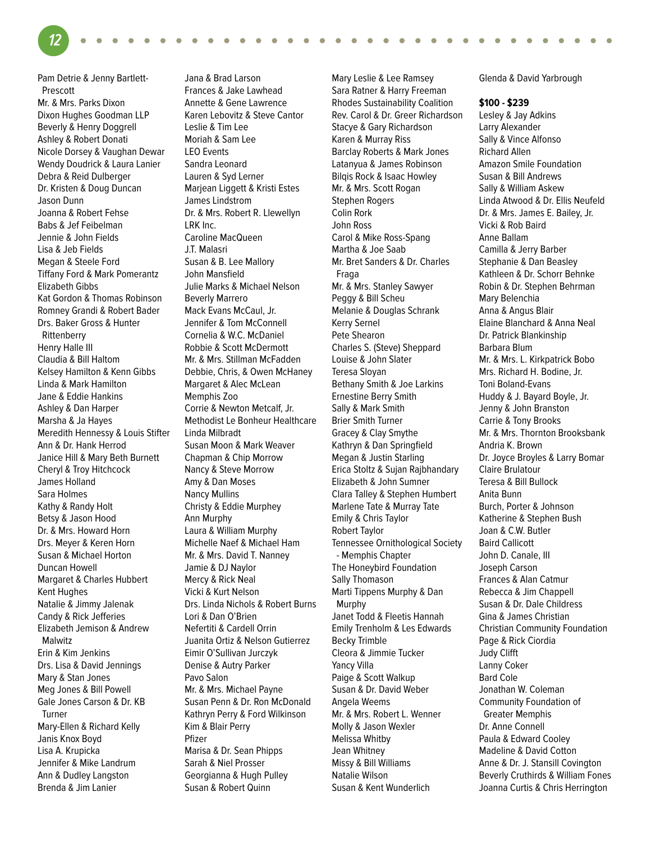Pam Detrie & Jenny Bartlett- Prescott Mr. & Mrs. Parks Dixon Dixon Hughes Goodman LLP Beverly & Henry Doggrell Ashley & Robert Donati Nicole Dorsey & Vaughan Dewar Wendy Doudrick & Laura Lanier Debra & Reid Dulberger Dr. Kristen & Doug Duncan Jason Dunn Joanna & Robert Fehse Babs & Jef Feibelman Jennie & John Fields Lisa & Jeb Fields Megan & Steele Ford Tiffany Ford & Mark Pomerantz Elizabeth Gibbs Kat Gordon & Thomas Robinson Romney Grandi & Robert Bader Drs. Baker Gross & Hunter Rittenberry Henry Halle III Claudia & Bill Haltom Kelsey Hamilton & Kenn Gibbs Linda & Mark Hamilton Jane & Eddie Hankins Ashley & Dan Harper Marsha & Ja Hayes Meredith Hennessy & Louis Stifter Ann & Dr. Hank Herrod Janice Hill & Mary Beth Burnett Cheryl & Troy Hitchcock James Holland Sara Holmes Kathy & Randy Holt Betsy & Jason Hood Dr. & Mrs. Howard Horn Drs. Meyer & Keren Horn Susan & Michael Horton Duncan Howell Margaret & Charles Hubbert Kent Hughes Natalie & Jimmy Jalenak Candy & Rick Jefferies Elizabeth Jemison & Andrew Malwitz Erin & Kim Jenkins Drs. Lisa & David Jennings Mary & Stan Jones Meg Jones & Bill Powell Gale Jones Carson & Dr. KB Turner Mary-Ellen & Richard Kelly Janis Knox Boyd Lisa A. Krupicka Jennifer & Mike Landrum Ann & Dudley Langston Brenda & Jim Lanier

**12**

Jana & Brad Larson Frances & Jake Lawhead Annette & Gene Lawrence Karen Lebovitz & Steve Cantor Leslie & Tim Lee Moriah & Sam Lee LEO Events Sandra Leonard Lauren & Syd Lerner Marjean Liggett & Kristi Estes James Lindstrom Dr. & Mrs. Robert R. Llewellyn LRK Inc. Caroline MacQueen J.T. Malasri Susan & B. Lee Mallory John Mansfield Julie Marks & Michael Nelson Beverly Marrero Mack Evans McCaul, Jr. Jennifer & Tom McConnell Cornelia & W.C. McDaniel Robbie & Scott McDermott Mr. & Mrs. Stillman McFadden Debbie, Chris, & Owen McHaney Margaret & Alec McLean Memphis Zoo Corrie & Newton Metcalf, Jr. Methodist Le Bonheur Healthcare Linda Milbradt Susan Moon & Mark Weaver Chapman & Chip Morrow Nancy & Steve Morrow Amy & Dan Moses Nancy Mullins Christy & Eddie Murphey Ann Murphy Laura & William Murphy Michelle Naef & Michael Ham Mr. & Mrs. David T. Nanney Jamie & DJ Naylor Mercy & Rick Neal Vicki & Kurt Nelson Drs. Linda Nichols & Robert Burns Lori & Dan O'Brien Nefertiti & Cardell Orrin Juanita Ortiz & Nelson Gutierrez Eimir O'Sullivan Jurczyk Denise & Autry Parker Pavo Salon Mr. & Mrs. Michael Payne Susan Penn & Dr. Ron McDonald Kathryn Perry & Ford Wilkinson Kim & Blair Perry Pfizer Marisa & Dr. Sean Phipps Sarah & Niel Prosser Georgianna & Hugh Pulley Susan & Robert Quinn

٠

Mary Leslie & Lee Ramsey Sara Ratner & Harry Freeman Rhodes Sustainability Coalition Rev. Carol & Dr. Greer Richardson Stacye & Gary Richardson Karen & Murray Riss Barclay Roberts & Mark Jones Latanyua & James Robinson Bilqis Rock & Isaac Howley Mr. & Mrs. Scott Rogan Stephen Rogers Colin Rork John Ross Carol & Mike Ross-Spang Martha & Joe Saab Mr. Bret Sanders & Dr. Charles Fraga Mr. & Mrs. Stanley Sawyer Peggy & Bill Scheu Melanie & Douglas Schrank Kerry Sernel Pete Shearon Charles S. (Steve) Sheppard Louise & John Slater Teresa Sloyan Bethany Smith & Joe Larkins Ernestine Berry Smith Sally & Mark Smith Brier Smith Turner Gracey & Clay Smythe Kathryn & Dan Springfield Megan & Justin Starling Erica Stoltz & Sujan Rajbhandary Elizabeth & John Sumner Clara Talley & Stephen Humbert Marlene Tate & Murray Tate Emily & Chris Taylor Robert Taylor Tennessee Ornithological Society - Memphis Chapter The Honeybird Foundation Sally Thomason Marti Tippens Murphy & Dan Murphy Janet Todd & Fleetis Hannah Emily Trenholm & Les Edwards Becky Trimble Cleora & Jimmie Tucker Yancy Villa Paige & Scott Walkup Susan & Dr. David Weber Angela Weems Mr. & Mrs. Robert L. Wenner Molly & Jason Wexler Melissa Whitby Jean Whitney Missy & Bill Williams Natalie Wilson Susan & Kent Wunderlich

Glenda & David Yarbrough

 $\sqrt{2}$  $\sqrt{2}$ 

#### **\$100 - \$239**

Lesley & Jay Adkins Larry Alexander Sally & Vince Alfonso Richard Allen Amazon Smile Foundation Susan & Bill Andrews Sally & William Askew Linda Atwood & Dr. Ellis Neufeld Dr. & Mrs. James E. Bailey, Jr. Vicki & Rob Baird Anne Ballam Camilla & Jerry Barber Stephanie & Dan Beasley Kathleen & Dr. Schorr Behnke Robin & Dr. Stephen Behrman Mary Belenchia Anna & Angus Blair Elaine Blanchard & Anna Neal Dr. Patrick Blankinship Barbara Blum Mr. & Mrs. L. Kirkpatrick Bobo Mrs. Richard H. Bodine, Jr. Toni Boland-Evans Huddy & J. Bayard Boyle, Jr. Jenny & John Branston Carrie & Tony Brooks Mr. & Mrs. Thornton Brooksbank Andria K. Brown Dr. Joyce Broyles & Larry Bomar Claire Brulatour Teresa & Bill Bullock Anita Bunn Burch, Porter & Johnson Katherine & Stephen Bush Joan & C.W. Butler Baird Callicott John D. Canale, III Joseph Carson Frances & Alan Catmur Rebecca & Jim Chappell Susan & Dr. Dale Childress Gina & James Christian Christian Community Foundation Page & Rick Ciordia Judy Clifft Lanny Coker Bard Cole Jonathan W. Coleman Community Foundation of Greater Memphis Dr. Anne Connell Paula & Edward Cooley Madeline & David Cotton Anne & Dr. J. Stansill Covington Beverly Cruthirds & William Fones Joanna Curtis & Chris Herrington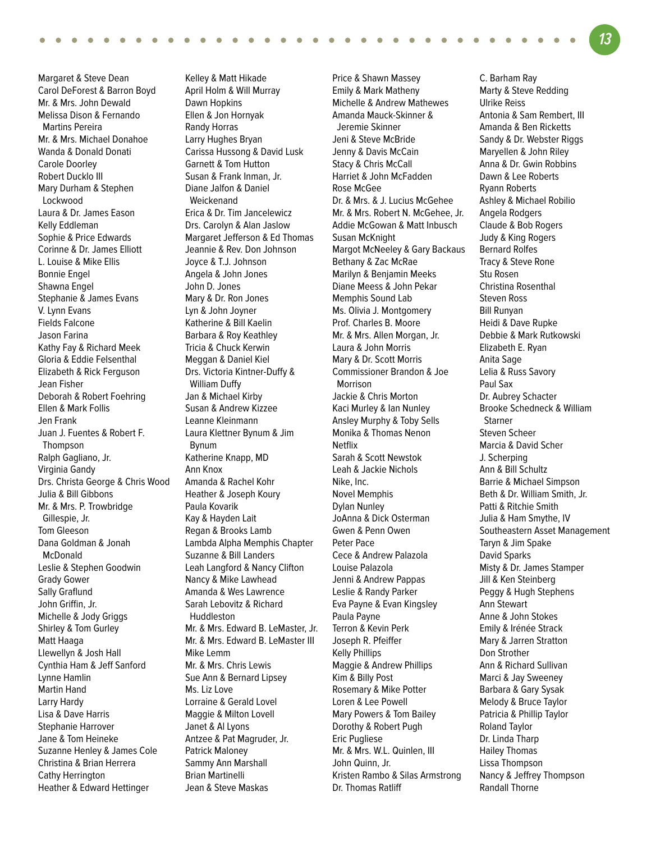Margaret & Steve Dean Carol DeForest & Barron Boyd Mr. & Mrs. John Dewald Melissa Dison & Fernando Martins Pereira Mr. & Mrs. Michael Donahoe Wanda & Donald Donati Carole Doorley Robert Ducklo III Mary Durham & Stephen Lockwood Laura & Dr. James Eason Kelly Eddleman Sophie & Price Edwards Corinne & Dr. James Elliott L. Louise & Mike Ellis Bonnie Engel Shawna Engel Stephanie & James Evans V. Lynn Evans Fields Falcone Jason Farina Kathy Fay & Richard Meek Gloria & Eddie Felsenthal Elizabeth & Rick Ferguson Jean Fisher Deborah & Robert Foehring Ellen & Mark Follis Jen Frank Juan J. Fuentes & Robert F. Thompson Ralph Gagliano, Jr. Virginia Gandy Drs. Christa George & Chris Wood Julia & Bill Gibbons Mr. & Mrs. P. Trowbridge Gillespie, Jr. Tom Gleeson Dana Goldman & Jonah McDonald Leslie & Stephen Goodwin Grady Gower Sally Graflund John Griffin, Jr. Michelle & Jody Griggs Shirley & Tom Gurley Matt Haaga Llewellyn & Josh Hall Cynthia Ham & Jeff Sanford Lynne Hamlin Martin Hand Larry Hardy Lisa & Dave Harris Stephanie Harrover Jane & Tom Heineke Suzanne Henley & James Cole Christina & Brian Herrera Cathy Herrington Heather & Edward Hettinger

Kelley & Matt Hikade April Holm & Will Murray Dawn Hopkins Ellen & Jon Hornyak Randy Horras Larry Hughes Bryan Carissa Hussong & David Lusk Garnett & Tom Hutton Susan & Frank Inman, Jr. Diane Jalfon & Daniel Weickenand Erica & Dr. Tim Jancelewicz Drs. Carolyn & Alan Jaslow Margaret Jefferson & Ed Thomas Jeannie & Rev. Don Johnson Joyce & T.J. Johnson Angela & John Jones John D. Jones Mary & Dr. Ron Jones Lyn & John Joyner Katherine & Bill Kaelin Barbara & Roy Keathley Tricia & Chuck Kerwin Meggan & Daniel Kiel Drs. Victoria Kintner-Duffy & William Duffy Jan & Michael Kirby Susan & Andrew Kizzee Leanne Kleinmann Laura Klettner Bynum & Jim Bynum Katherine Knapp, MD Ann Knox Amanda & Rachel Kohr Heather & Joseph Koury Paula Kovarik Kay & Hayden Lait Regan & Brooks Lamb Lambda Alpha Memphis Chapter Suzanne & Bill Landers Leah Langford & Nancy Clifton Nancy & Mike Lawhead Amanda & Wes Lawrence Sarah Lebovitz & Richard Huddleston Mr. & Mrs. Edward B. LeMaster, Jr. Mr. & Mrs. Edward B. LeMaster III Mike Lemm Mr. & Mrs. Chris Lewis Sue Ann & Bernard Lipsey Ms. Liz Love Lorraine & Gerald Lovel Maggie & Milton Lovell Janet & Al Lyons Antzee & Pat Magruder, Jr. Patrick Maloney Sammy Ann Marshall Brian Martinelli Jean & Steve Maskas

Price & Shawn Massey Emily & Mark Matheny Michelle & Andrew Mathewes Amanda Mauck-Skinner & Jeremie Skinner Jeni & Steve McBride Jenny & Davis McCain Stacy & Chris McCall Harriet & John McFadden Rose McGee Dr. & Mrs. & J. Lucius McGehee Mr. & Mrs. Robert N. McGehee, Jr. Addie McGowan & Matt Inbusch Susan McKnight Margot McNeeley & Gary Backaus Bethany & Zac McRae Marilyn & Benjamin Meeks Diane Meess & John Pekar Memphis Sound Lab Ms. Olivia J. Montgomery Prof. Charles B. Moore Mr. & Mrs. Allen Morgan, Jr. Laura & John Morris Mary & Dr. Scott Morris Commissioner Brandon & Joe Morrison Jackie & Chris Morton Kaci Murley & Ian Nunley Ansley Murphy & Toby Sells Monika & Thomas Nenon Netflix Sarah & Scott Newstok Leah & Jackie Nichols Nike, Inc. Novel Memphis Dylan Nunley JoAnna & Dick Osterman Gwen & Penn Owen Peter Pace Cece & Andrew Palazola Louise Palazola Jenni & Andrew Pappas Leslie & Randy Parker Eva Payne & Evan Kingsley Paula Payne Terron & Kevin Perk Joseph R. Pfeiffer Kelly Phillips Maggie & Andrew Phillips Kim & Billy Post Rosemary & Mike Potter Loren & Lee Powell Mary Powers & Tom Bailey Dorothy & Robert Pugh Eric Pugliese Mr. & Mrs. W.L. Quinlen, III John Quinn, Jr. Kristen Rambo & Silas Armstrong Dr. Thomas Ratliff

C. Barham Ray Marty & Steve Redding Ulrike Reiss Antonia & Sam Rembert, III Amanda & Ben Ricketts Sandy & Dr. Webster Riggs Maryellen & John Riley Anna & Dr. Gwin Robbins Dawn & Lee Roberts Ryann Roberts Ashley & Michael Robilio Angela Rodgers Claude & Bob Rogers Judy & King Rogers Bernard Rolfes Tracy & Steve Rone Stu Rosen Christina Rosenthal Steven Ross Bill Runyan Heidi & Dave Rupke Debbie & Mark Rutkowski Elizabeth E. Ryan Anita Sage Lelia & Russ Savory Paul Sax Dr. Aubrey Schacter Brooke Schedneck & William Starner Steven Scheer Marcia & David Scher J. Scherping Ann & Bill Schultz Barrie & Michael Simpson Beth & Dr. William Smith, Jr. Patti & Ritchie Smith Julia & Ham Smythe, IV Southeastern Asset Management Taryn & Jim Spake David Sparks Misty & Dr. James Stamper Jill & Ken Steinberg Peggy & Hugh Stephens Ann Stewart Anne & John Stokes Emily & Irénée Strack Mary & Jarren Stratton Don Strother Ann & Richard Sullivan Marci & Jay Sweeney Barbara & Gary Sysak Melody & Bruce Taylor Patricia & Phillip Taylor Roland Taylor Dr. Linda Tharp Hailey Thomas Lissa Thompson Nancy & Jeffrey Thompson Randall Thorne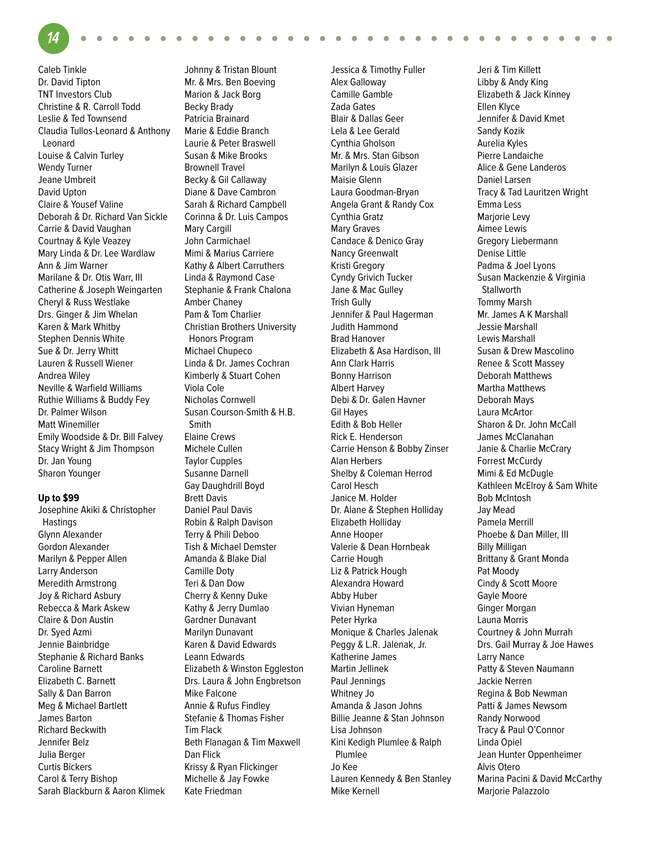**14**

Caleb Tinkle Dr. David Tipton TNT Investors Club Christine & R. Carroll Todd Leslie & Ted Townsend Claudia Tullos-Leonard & Anthony Leonard Louise & Calvin Turley Wendy Turner Jeane Umbreit David Upton Claire & Yousef Valine Deborah & Dr. Richard Van Sickle Carrie & David Vaughan Courtnay & Kyle Veazey Mary Linda & Dr. Lee Wardlaw Ann & Jim Warner Marilane & Dr. Otis Warr, III Catherine & Joseph Weingarten Cheryl & Russ Westlake Drs. Ginger & Jim Whelan Karen & Mark Whitby Stephen Dennis White Sue & Dr. Jerry Whitt Lauren & Russell Wiener Andrea Wiley Neville & Warfield Williams Ruthie Williams & Buddy Fey Dr. Palmer Wilson Matt Winemiller Emily Woodside & Dr. Bill Falvey Stacy Wright & Jim Thompson Dr. Jan Young Sharon Younger

#### **Up to \$99**

Josephine Akiki & Christopher Hastings Glynn Alexander Gordon Alexander Marilyn & Pepper Allen Larry Anderson Meredith Armstrong Joy & Richard Asbury Rebecca & Mark Askew Claire & Don Austin Dr. Syed Azmi Jennie Bainbridge Stephanie & Richard Banks Caroline Barnett Elizabeth C. Barnett Sally & Dan Barron Meg & Michael Bartlett James Barton Richard Beckwith Jennifer Belz Julia Berger Curtis Bickers Carol & Terry Bishop Sarah Blackburn & Aaron Klimek

Johnny & Tristan Blount Mr. & Mrs. Ben Boeving Marion & Jack Borg Becky Brady Patricia Brainard Marie & Eddie Branch Laurie & Peter Braswell Susan & Mike Brooks Brownell Travel Becky & Gil Callaway Diane & Dave Cambron Sarah & Richard Campbell Corinna & Dr. Luis Campos Mary Cargill John Carmichael Mimi & Marius Carriere Kathy & Albert Carruthers Linda & Raymond Case Stephanie & Frank Chalona Amber Chaney Pam & Tom Charlier Christian Brothers University Honors Program Michael Chupeco Linda & Dr. James Cochran Kimberly & Stuart Cohen Viola Cole Nicholas Cornwell Susan Courson-Smith & H.B. Smith Elaine Crews Michele Cullen Taylor Cupples Susanne Darnell Gay Daughdrill Boyd Brett Davis Daniel Paul Davis Robin & Ralph Davison Terry & Phili Deboo Tish & Michael Demster Amanda & Blake Dial Camille Doty Teri & Dan Dow Cherry & Kenny Duke Kathy & Jerry Dumlao Gardner Dunavant Marilyn Dunavant Karen & David Edwards Leann Edwards Elizabeth & Winston Eggleston Drs. Laura & John Engbretson Mike Falcone Annie & Rufus Findley Stefanie & Thomas Fisher Tim Flack Beth Flanagan & Tim Maxwell Dan Flick Krissy & Ryan Flickinger Michelle & Jay Fowke Kate Friedman

Jessica & Timothy Fuller Alex Galloway Camille Gamble Zada Gates Blair & Dallas Geer Lela & Lee Gerald Cynthia Gholson Mr. & Mrs. Stan Gibson Marilyn & Louis Glazer Maisie Glenn Laura Goodman-Bryan Angela Grant & Randy Cox Cynthia Gratz Mary Graves Candace & Denico Gray Nancy Greenwalt Kristi Gregory Cyndy Grivich Tucker Jane & Mac Gulley Trish Gully Jennifer & Paul Hagerman Judith Hammond Brad Hanover Elizabeth & Asa Hardison, III Ann Clark Harris Bonny Harrison Albert Harvey Debi & Dr. Galen Havner Gil Hayes Edith & Bob Heller Rick E. Henderson Carrie Henson & Bobby Zinser Alan Herbers Shelby & Coleman Herrod Carol Hesch Janice M. Holder Dr. Alane & Stephen Holliday Elizabeth Holliday Anne Hooper Valerie & Dean Hornbeak Carrie Hough Liz & Patrick Hough Alexandra Howard Abby Huber Vivian Hyneman Peter Hyrka Monique & Charles Jalenak Peggy & L.R. Jalenak, Jr. Katherine James Martin Jellinek Paul Jennings Whitney Jo Amanda & Jason Johns Billie Jeanne & Stan Johnson Lisa Johnson Kini Kedigh Plumlee & Ralph Plumlee Jo Kee Lauren Kennedy & Ben Stanley Mike Kernell

Jeri & Tim Killett Libby & Andy King Elizabeth & Jack Kinney Ellen Klyce Jennifer & David Kmet Sandy Kozik Aurelia Kyles Pierre Landaiche Alice & Gene Landeros Daniel Larsen Tracy & Tad Lauritzen Wright Emma Less Marjorie Levy Aimee Lewis Gregory Liebermann Denise Little Padma & Joel Lyons Susan Mackenzie & Virginia **Stallworth** Tommy Marsh Mr. James A K Marshall Jessie Marshall Lewis Marshall Susan & Drew Mascolino Renee & Scott Massey Deborah Matthews Martha Matthews Deborah Mays Laura McArtor Sharon & Dr. John McCall James McClanahan Janie & Charlie McCrary Forrest McCurdy Mimi & Ed McDugle Kathleen McElroy & Sam White Bob McIntosh Jay Mead Pamela Merrill Phoebe & Dan Miller, III Billy Milligan Brittany & Grant Monda Pat Moody Cindy & Scott Moore Gayle Moore Ginger Morgan Launa Morris Courtney & John Murrah Drs. Gail Murray & Joe Hawes Larry Nance Patty & Steven Naumann Jackie Nerren Regina & Bob Newman Patti & James Newsom Randy Norwood Tracy & Paul O'Connor Linda Opiel Jean Hunter Oppenheimer Alvis Otero Marina Pacini & David McCarthy Marjorie Palazzolo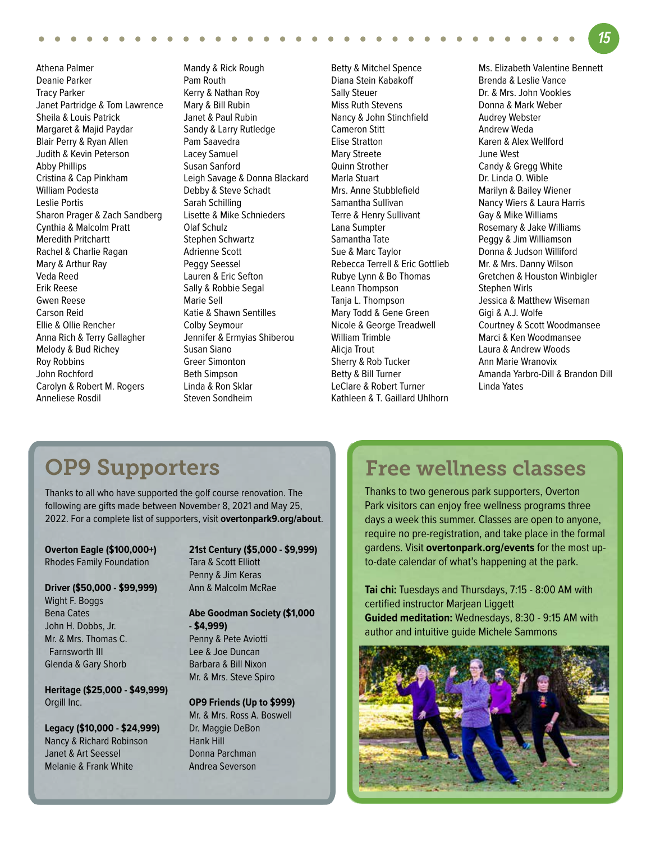Athena Palmer Deanie Parker Tracy Parker Janet Partridge & Tom Lawrence Sheila & Louis Patrick Margaret & Majid Paydar Blair Perry & Ryan Allen Judith & Kevin Peterson Abby Phillips Cristina & Cap Pinkham William Podesta Leslie Portis Sharon Prager & Zach Sandberg Cynthia & Malcolm Pratt Meredith Pritchartt Rachel & Charlie Ragan Mary & Arthur Ray Veda Reed Erik Reese Gwen Reese Carson Reid Ellie & Ollie Rencher Anna Rich & Terry Gallagher Melody & Bud Richey Roy Robbins John Rochford Carolyn & Robert M. Rogers Anneliese Rosdil

Mandy & Rick Rough Pam Routh Kerry & Nathan Roy Mary & Bill Rubin Janet & Paul Rubin Sandy & Larry Rutledge Pam Saavedra Lacey Samuel Susan Sanford Leigh Savage & Donna Blackard Debby & Steve Schadt Sarah Schilling Lisette & Mike Schnieders Olaf Schulz Stephen Schwartz Adrienne Scott Peggy Seessel Lauren & Eric Sefton Sally & Robbie Segal Marie Sell Katie & Shawn Sentilles Colby Seymour Jennifer & Ermyias Shiberou Susan Siano Greer Simonton Beth Simpson Linda & Ron Sklar Steven Sondheim

Betty & Mitchel Spence Diana Stein Kabakoff Sally Steuer Miss Ruth Stevens Nancy & John Stinchfield Cameron Stitt Elise Stratton Mary Streete Quinn Strother Marla Stuart Mrs. Anne Stubblefield Samantha Sullivan Terre & Henry Sullivant Lana Sumpter Samantha Tate Sue & Marc Taylor Rebecca Terrell & Eric Gottlieb Rubye Lynn & Bo Thomas Leann Thompson Tanja L. Thompson Mary Todd & Gene Green Nicole & George Treadwell William Trimble Alicja Trout Sherry & Rob Tucker Betty & Bill Turner LeClare & Robert Turner Kathleen & T. Gaillard Uhlhorn Ms. Elizabeth Valentine Bennett Brenda & Leslie Vance Dr. & Mrs. John Vookles Donna & Mark Weber Audrey Webster Andrew Weda Karen & Alex Wellford June West Candy & Gregg White Dr. Linda O. Wible Marilyn & Bailey Wiener Nancy Wiers & Laura Harris Gay & Mike Williams Rosemary & Jake Williams Peggy & Jim Williamson Donna & Judson Williford Mr. & Mrs. Danny Wilson Gretchen & Houston Winbigler Stephen Wirls Jessica & Matthew Wiseman Gigi & A.J. Wolfe Courtney & Scott Woodmansee Marci & Ken Woodmansee Laura & Andrew Woods Ann Marie Wranovix Amanda Yarbro-Dill & Brandon Dill Linda Yates

**15**

## OP9 Supporters

Thanks to all who have supported the golf course renovation. The following are gifts made between November 8, 2021 and May 25, 2022. For a complete list of supporters, visit **overtonpark9.org/about**.

**Overton Eagle (\$100,000+)** Rhodes Family Foundation

#### **Driver (\$50,000 - \$99,999)**

Wight F. Boggs Bena Cates John H. Dobbs, Jr. Mr. & Mrs. Thomas C. Farnsworth III Glenda & Gary Shorb

**Heritage (\$25,000 - \$49,999)** Orgill Inc.

**Legacy (\$10,000 - \$24,999)** Nancy & Richard Robinson Janet & Art Seessel Melanie & Frank White

**21st Century (\$5,000 - \$9,999)** Tara & Scott Elliott Penny & Jim Keras Ann & Malcolm McRae

**Abe Goodman Society (\$1,000 - \$4,999)** Penny & Pete Aviotti Lee & Joe Duncan

Barbara & Bill Nixon Mr. & Mrs. Steve Spiro

**OP9 Friends (Up to \$999)** Mr. & Mrs. Ross A. Boswell Dr. Maggie DeBon Hank Hill Donna Parchman Andrea Severson

## Free wellness classes

Thanks to two generous park supporters, Overton Park visitors can enjoy free wellness programs three days a week this summer. Classes are open to anyone, require no pre-registration, and take place in the formal gardens. Visit **overtonpark.org/events** for the most upto-date calendar of what's happening at the park.

**Tai chi:** Tuesdays and Thursdays, 7:15 - 8:00 AM with certified instructor Marjean Liggett **Guided meditation:** Wednesdays, 8:30 - 9:15 AM with author and intuitive guide Michele Sammons